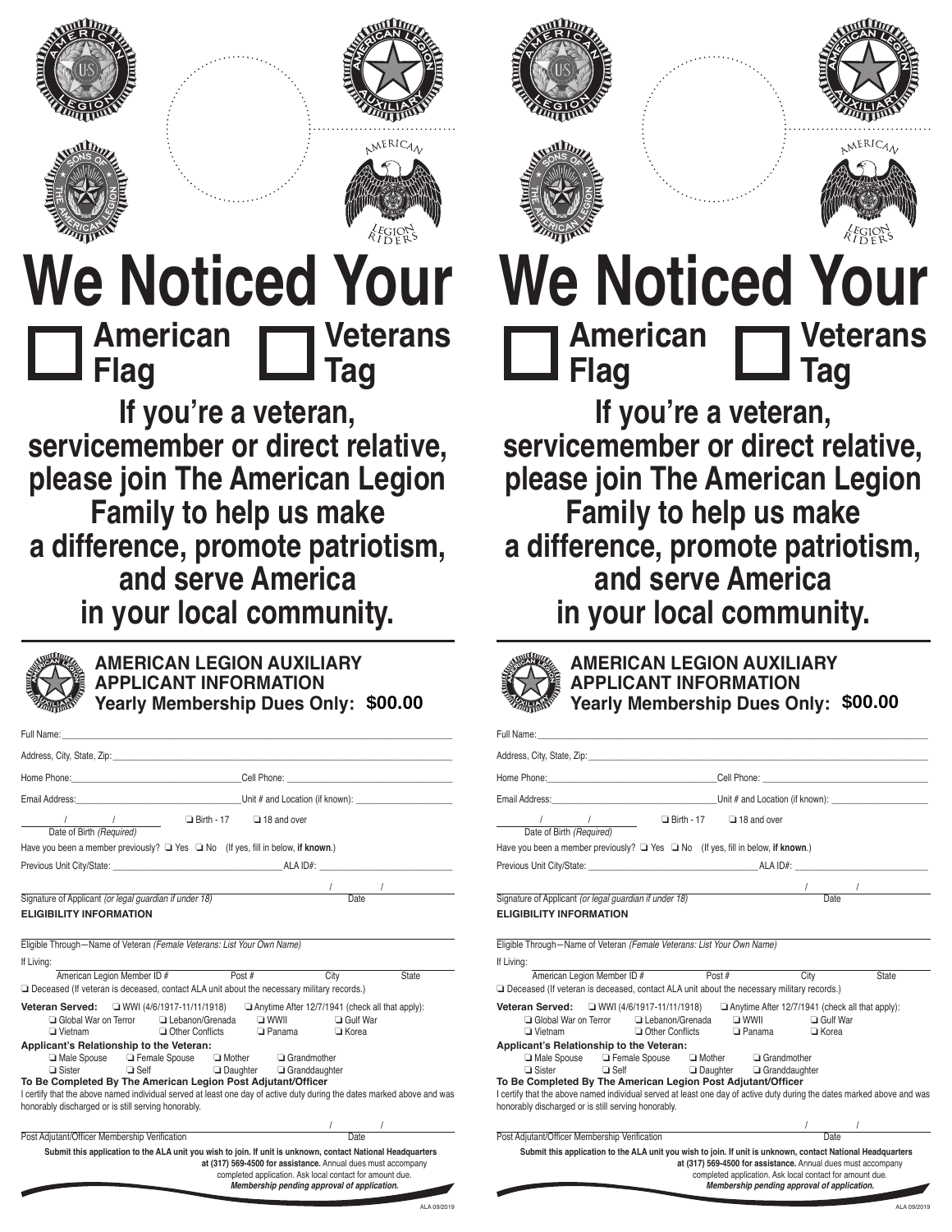





# **We Noticed Your American Flag Veterans Tag**

**If you're a veteran, servicemember or direct relative, please join The American Legion Family to help us make a difference, promote patriotism, and serve America in your local community.**



**AMERICAN LEGION AUXILIARY APPLICANT INFORMATION Yearly Membership Dues Only:**

| Full Name: The contract of the contract of the contract of the contract of the contract of the contract of the                                                                                               |                                                                                                                                                                                                                                                                                                                                                                                                                    |
|--------------------------------------------------------------------------------------------------------------------------------------------------------------------------------------------------------------|--------------------------------------------------------------------------------------------------------------------------------------------------------------------------------------------------------------------------------------------------------------------------------------------------------------------------------------------------------------------------------------------------------------------|
|                                                                                                                                                                                                              |                                                                                                                                                                                                                                                                                                                                                                                                                    |
|                                                                                                                                                                                                              | Home Phone: Call Phone: Cell Phone: Call Phone: Call Phone: Call Phone: Call Phone: Call Phone: Call Phone: Call Phone: Call Phone: Call Phone: Call Phone: Call Phone: Call Phone: Call Phone: Call Phone: Call Phone: Call P                                                                                                                                                                                     |
|                                                                                                                                                                                                              |                                                                                                                                                                                                                                                                                                                                                                                                                    |
| / / / □ Birth - 17 □ 18 and over<br>Date of Birth (Required) □                                                                                                                                               |                                                                                                                                                                                                                                                                                                                                                                                                                    |
| Have you been a member previously? $\Box$ Yes $\Box$ No (If yes, fill in below, if known.)                                                                                                                   |                                                                                                                                                                                                                                                                                                                                                                                                                    |
|                                                                                                                                                                                                              |                                                                                                                                                                                                                                                                                                                                                                                                                    |
|                                                                                                                                                                                                              |                                                                                                                                                                                                                                                                                                                                                                                                                    |
| Signature of Applicant (or legal guardian if under 18)                                                                                                                                                       | $\frac{1}{\sqrt{1-\frac{1}{2}}}\frac{1}{\sqrt{1-\frac{1}{2}}\sqrt{1-\frac{1}{2}}\sqrt{1-\frac{1}{2}}\sqrt{1-\frac{1}{2}}\sqrt{1-\frac{1}{2}}\sqrt{1-\frac{1}{2}}\sqrt{1-\frac{1}{2}}\sqrt{1-\frac{1}{2}}\sqrt{1-\frac{1}{2}}\sqrt{1-\frac{1}{2}}\sqrt{1-\frac{1}{2}}\sqrt{1-\frac{1}{2}}\sqrt{1-\frac{1}{2}}\sqrt{1-\frac{1}{2}}\sqrt{1-\frac{1}{2}}\sqrt{1-\frac{1}{2}}\sqrt{1-\frac{1}{2}}\sqrt{1-\frac{1}{2}}\$ |
| <b>ELIGIBILITY INFORMATION</b>                                                                                                                                                                               |                                                                                                                                                                                                                                                                                                                                                                                                                    |
|                                                                                                                                                                                                              |                                                                                                                                                                                                                                                                                                                                                                                                                    |
| Eligible Through-Name of Veteran (Female Veterans: List Your Own Name)                                                                                                                                       |                                                                                                                                                                                                                                                                                                                                                                                                                    |
| If Living:                                                                                                                                                                                                   |                                                                                                                                                                                                                                                                                                                                                                                                                    |
| American Legion Member ID # Post #                                                                                                                                                                           | City<br><b>State</b>                                                                                                                                                                                                                                                                                                                                                                                               |
| Deceased (If veteran is deceased, contact ALA unit about the necessary military records.)                                                                                                                    |                                                                                                                                                                                                                                                                                                                                                                                                                    |
| <b>Veteran Served:</b> $\Box$ WWI (4/6/1917-11/11/1918) $\Box$ Anytime After 12/7/1941 (check all that apply):<br>□ Global War on Terror □ Lebanon/Grenada □ WWII □ Gulf War<br>Other Conflicts<br>□ Vietnam | □ Panama □ Korea                                                                                                                                                                                                                                                                                                                                                                                                   |
| Applicant's Relationship to the Veteran:                                                                                                                                                                     |                                                                                                                                                                                                                                                                                                                                                                                                                    |
| □ Male Spouse □ Female Spouse □ Mother □ Grandmother<br>□ Sister □ Self □ Daughter □ Granddaughter                                                                                                           |                                                                                                                                                                                                                                                                                                                                                                                                                    |
| To Be Completed By The American Legion Post Adjutant/Officer                                                                                                                                                 |                                                                                                                                                                                                                                                                                                                                                                                                                    |
|                                                                                                                                                                                                              | I certify that the above named individual served at least one day of active duty during the dates marked above and was                                                                                                                                                                                                                                                                                             |
| honorably discharged or is still serving honorably.                                                                                                                                                          |                                                                                                                                                                                                                                                                                                                                                                                                                    |
|                                                                                                                                                                                                              | $\frac{1}{1}$ and $\frac{1}{1}$ and $\frac{1}{1}$ and $\frac{1}{1}$ and $\frac{1}{1}$ and $\frac{1}{1}$ and $\frac{1}{1}$ and $\frac{1}{1}$ and $\frac{1}{1}$ and $\frac{1}{1}$ and $\frac{1}{1}$ and $\frac{1}{1}$ and $\frac{1}{1}$ and $\frac{1}{1}$ and $\frac{1}{1}$ and $\frac{1}{1}$ a<br>Date                                                                                                              |
| Post Adjutant/Officer Membership Verification                                                                                                                                                                |                                                                                                                                                                                                                                                                                                                                                                                                                    |
|                                                                                                                                                                                                              | Submit this application to the ALA unit you wish to join. If unit is unknown, contact National Headquarters<br>at (317) 569-4500 for assistance. Annual dues must accompany                                                                                                                                                                                                                                        |



ALA 09/2019











# **We Noticed Your American Flag Veterans Tag**

**If you're a veteran, servicemember or direct relative, please join The American Legion Family to help us make a difference, promote patriotism, and serve America in your local community.**



**AMERICAN LEGION AUXILIARY APPLICANT INFORMATION Yearly Membership Dues Only: \$00.00 \$00.00**

| Full Name: The contract of the contract of the contract of the contract of the contract of the contract of the                                                                                                                                                                                                                                                                                                                                                                                                                                                        |                                                                                                                                                                         |                                   |
|-----------------------------------------------------------------------------------------------------------------------------------------------------------------------------------------------------------------------------------------------------------------------------------------------------------------------------------------------------------------------------------------------------------------------------------------------------------------------------------------------------------------------------------------------------------------------|-------------------------------------------------------------------------------------------------------------------------------------------------------------------------|-----------------------------------|
|                                                                                                                                                                                                                                                                                                                                                                                                                                                                                                                                                                       |                                                                                                                                                                         |                                   |
| Home Phone: Cell Phone: Cell Phone: Cell Phone: Cell Phone: Cell Phone: Cell Phone: Cell Phone: Cell Phone: Cell Phone: Cell Phone: Cell Phone: Cell Phone: Cell Phone: Cell Phone: Cell Phone: Cell Phone: Cell Phone: Cell P                                                                                                                                                                                                                                                                                                                                        |                                                                                                                                                                         |                                   |
| Email Address: <u>Communication</u> Control Control Control Control Control Control Control Control Control Control Control Control Control Control Control Control Control Control Control Control Control Control Control Control                                                                                                                                                                                                                                                                                                                                   |                                                                                                                                                                         |                                   |
| 18 and over<br>Date of Birth (Required)<br>Date of Birth (Required)<br>Date of Birth (Required)                                                                                                                                                                                                                                                                                                                                                                                                                                                                       |                                                                                                                                                                         |                                   |
| Have you been a member previously? U Yes U No (If yes, fill in below, if known.)                                                                                                                                                                                                                                                                                                                                                                                                                                                                                      |                                                                                                                                                                         |                                   |
|                                                                                                                                                                                                                                                                                                                                                                                                                                                                                                                                                                       |                                                                                                                                                                         |                                   |
|                                                                                                                                                                                                                                                                                                                                                                                                                                                                                                                                                                       |                                                                                                                                                                         |                                   |
| Signature of Applicant (or legal guardian if under 18)                                                                                                                                                                                                                                                                                                                                                                                                                                                                                                                | $\frac{1}{\sqrt{1-\frac{1}{2}}}\sqrt{1-\frac{1}{2}}$                                                                                                                    |                                   |
| <b>ELIGIBILITY INFORMATION</b>                                                                                                                                                                                                                                                                                                                                                                                                                                                                                                                                        |                                                                                                                                                                         |                                   |
| Eligible Through-Name of Veteran (Female Veterans: List Your Own Name)<br>If Living:<br>American Legion Member ID # Post #<br>Deceased (If veteran is deceased, contact ALA unit about the necessary military records.)                                                                                                                                                                                                                                                                                                                                               | City                                                                                                                                                                    | State                             |
| <b>Veteran Served:</b> UWWI (4/6/1917-11/11/1918) Anytime After 12/7/1941 (check all that apply):<br>□ Global War on Terror □ Lebanon/Grenada □ WWII □ Gulf War<br><b>□ Vietnam</b><br>Applicant's Relationship to the Veteran:<br>□ Male Spouse □ Female Spouse □ Mother □ Grandmother<br>$\Box$ Sister $\Box$ Self<br>To Be Completed By The American Legion Post Adjutant/Officer<br>I certify that the above named individual served at least one day of active duty during the dates marked above and was<br>honorably discharged or is still serving honorably. | Other Conflicts De Panama De Korea<br>$\Box$ Daughter $\Box$ Granddaughter                                                                                              |                                   |
| Post Adjutant/Officer Membership Verification                                                                                                                                                                                                                                                                                                                                                                                                                                                                                                                         |                                                                                                                                                                         | $\frac{1}{\sqrt{1-\frac{1}{2}}}\$ |
| Submit this application to the ALA unit you wish to join. If unit is unknown, contact National Headquarters                                                                                                                                                                                                                                                                                                                                                                                                                                                           | at (317) 569-4500 for assistance. Annual dues must accompany<br>completed application. Ask local contact for amount due.<br>Membership pending approval of application. |                                   |